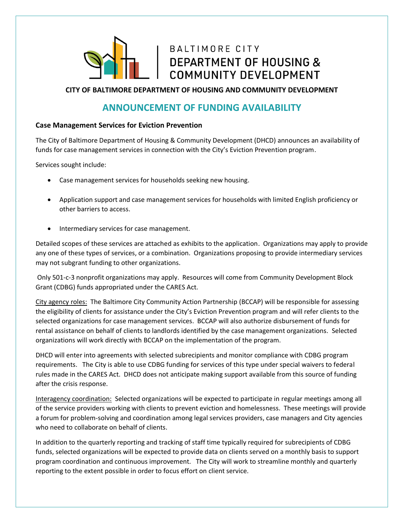

## BALTIMORE CITY **DEPARTMENT OF HOUSING &** COMMUNITY DEVELOPMENT

**CITY OF BALTIMORE DEPARTMENT OF HOUSING AND COMMUNITY DEVELOPMENT**

## **ANNOUNCEMENT OF FUNDING AVAILABILITY**

## **Case Management Services for Eviction Prevention**

The City of Baltimore Department of Housing & Community Development (DHCD) announces an availability of funds for case management services in connection with the City's Eviction Prevention program.

Services sought include:

- Case management services for households seeking new housing.
- Application support and case management services for households with limited English proficiency or other barriers to access.
- Intermediary services for case management.

Detailed scopes of these services are attached as exhibits to the application. Organizations may apply to provide any one of these types of services, or a combination. Organizations proposing to provide intermediary services may not subgrant funding to other organizations.

Only 501-c-3 nonprofit organizations may apply. Resources will come from Community Development Block Grant (CDBG) funds appropriated under the CARES Act.

City agency roles: The Baltimore City Community Action Partnership (BCCAP) will be responsible for assessing the eligibility of clients for assistance under the City's Eviction Prevention program and will refer clients to the selected organizations for case management services. BCCAP will also authorize disbursement of funds for rental assistance on behalf of clients to landlords identified by the case management organizations. Selected organizations will work directly with BCCAP on the implementation of the program.

DHCD will enter into agreements with selected subrecipients and monitor compliance with CDBG program requirements. The City is able to use CDBG funding for services of this type under special waivers to federal rules made in the CARES Act. DHCD does not anticipate making support available from this source of funding after the crisis response.

Interagency coordination: Selected organizations will be expected to participate in regular meetings among all of the service providers working with clients to prevent eviction and homelessness. These meetings will provide a forum for problem-solving and coordination among legal services providers, case managers and City agencies who need to collaborate on behalf of clients.

In addition to the quarterly reporting and tracking of staff time typically required for subrecipients of CDBG funds, selected organizations will be expected to provide data on clients served on a monthly basis to support program coordination and continuous improvement. The City will work to streamline monthly and quarterly reporting to the extent possible in order to focus effort on client service.